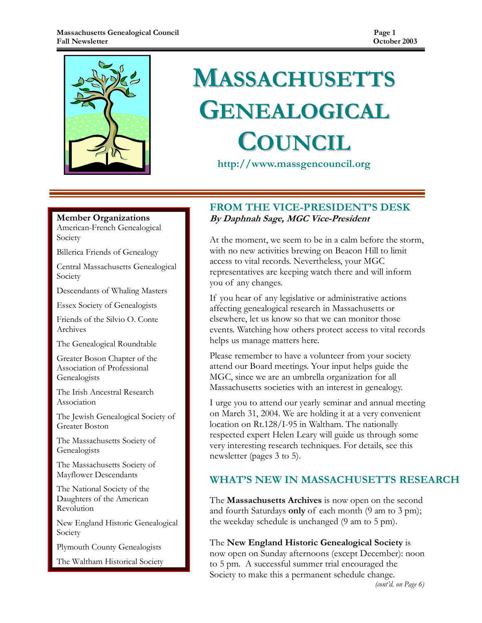

# **MASSACHUSETTS** GENEALOGICAL **COUNCIL**

http://www.massgencouncil.org

#### Member Organizations

American-French Genealogical Society

Billerica Friends of Genealogy

Central Massachusetts Genealogical Society

Descendants of Whaling Masters

Essex Society of Genealogists

Friends of the Silvio O. Conte Archives

The Genealogical Roundtable

Greater Boson Chapter of the Association of Professional Genealogists

The Irish Ancestral Research Association

The Jewish Genealogical Society of Greater Boston

The Massachusetts Society of Genealogists

The Massachusetts Society of Mayflower Descendants

The National Society of the Daughters of the American Revolution

New England Historic Genealogical Society

Plymouth County Genealogists

The Waltham Historical Society

## FROM THE VICE-PRESIDENT'S DESK By Daphnah Sage, MGC Vice-President

At the moment, we seem to be in a calm before the storm, with no new activities brewing on Beacon Hill to limit access to vital records. Nevertheless, your MGC representatives are keeping watch there and will inform you of any changes.

If you hear of any legislative or administrative actions affecting genealogical research in Massachusetts or elsewhere, let us know so that we can monitor those events. Watching how others protect access to vital records helps us manage matters here.

Please remember to have a volunteer from your society attend our Board meetings. Your input helps guide the MGC, since we are an umbrella organization for all Massachusetts societies with an interest in genealogy.

I urge you to attend our yearly seminar and annual meeting on March 31, 2004. We are holding it at a very convenient location on Rt.128/I-95 in Waltham. The nationally respected expert Helen Leary will guide us through some very interesting research techniques. For details, see this newsletter (pages 3 to 5).

## WHAT'S NEW IN MASSACHUSETTS RESEARCH

The **Massachusetts Archives** is now open on the second and fourth Saturdays only of each month (9 am to 3 pm); the weekday schedule is unchanged (9 am to 5 pm).

The New England Historic Genealogical Society is now open on Sunday afternoons (except December): noon to 5 pm. A successful summer trial encouraged the Society to make this a permanent schedule change.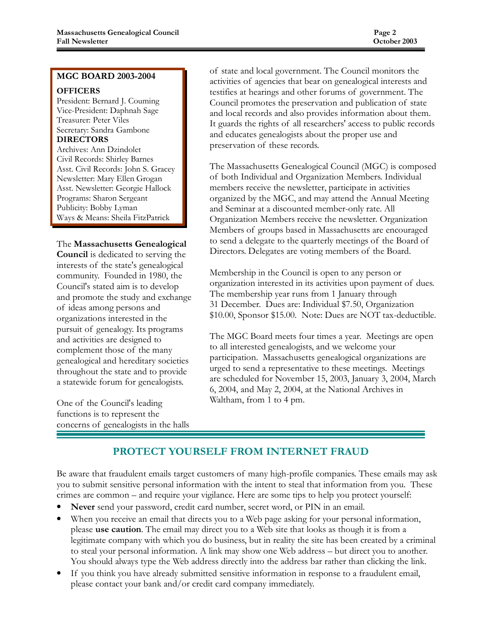#### MGC BOARD 2003-2004

#### **OFFICERS**

President: Bernard J. Couming Vice-President: Daphnah Sage Treasurer: Peter Viles Secretary: Sandra Gambone DIRECTORS

Archives: Ann Dzindolet Civil Records: Shirley Barnes Asst. Civil Records: John S. Gracey Newsletter: Mary Ellen Grogan Asst. Newsletter: Georgie Hallock Programs: Sharon Sergeant Publicity: Bobby Lyman Ways & Means: Sheila FitzPatrick

#### The Massachusetts Genealogical

Council is dedicated to serving the interests of the state's genealogical community. Founded in 1980, the Council's stated aim is to develop and promote the study and exchange of ideas among persons and organizations interested in the pursuit of genealogy. Its programs and activities are designed to complement those of the many genealogical and hereditary societies throughout the state and to provide a statewide forum for genealogists.

One of the Council's leading functions is to represent the concerns of genealogists in the halls of state and local government. The Council monitors the activities of agencies that bear on genealogical interests and testifies at hearings and other forums of government. The Council promotes the preservation and publication of state and local records and also provides information about them. It guards the rights of all researchers' access to public records and educates genealogists about the proper use and preservation of these records.

The Massachusetts Genealogical Council (MGC) is composed of both Individual and Organization Members. Individual members receive the newsletter, participate in activities organized by the MGC, and may attend the Annual Meeting and Seminar at a discounted member-only rate. All Organization Members receive the newsletter. Organization Members of groups based in Massachusetts are encouraged to send a delegate to the quarterly meetings of the Board of Directors. Delegates are voting members of the Board.

Membership in the Council is open to any person or organization interested in its activities upon payment of dues. The membership year runs from 1 January through 31 December. Dues are: Individual \$7.50, Organization \$10.00, Sponsor \$15.00. Note: Dues are NOT tax-deductible.

The MGC Board meets four times a year. Meetings are open to all interested genealogists, and we welcome your participation. Massachusetts genealogical organizations are urged to send a representative to these meetings. Meetings are scheduled for November 15, 2003, January 3, 2004, March 6, 2004, and May 2, 2004, at the National Archives in Waltham, from 1 to 4 pm.

# PROTECT YOURSELF FROM INTERNET FRAUD

Be aware that fraudulent emails target customers of many high-profile companies. These emails may ask you to submit sensitive personal information with the intent to steal that information from you. These crimes are common – and require your vigilance. Here are some tips to help you protect yourself:

- Never send your password, credit card number, secret word, or PIN in an email.
- When you receive an email that directs you to a Web page asking for your personal information, please use caution. The email may direct you to a Web site that looks as though it is from a legitimate company with which you do business, but in reality the site has been created by a criminal to steal your personal information. A link may show one Web address – but direct you to another. You should always type the Web address directly into the address bar rather than clicking the link.
- If you think you have already submitted sensitive information in response to a fraudulent email, please contact your bank and/or credit card company immediately.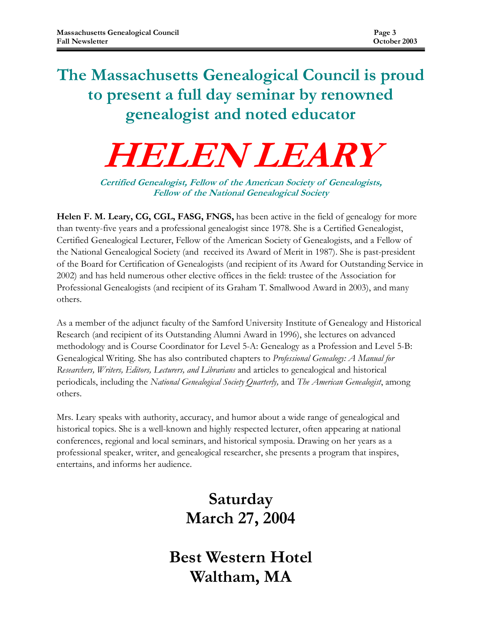# The Massachusetts Genealogical Council is proud to present a full day seminar by renowned genealogist and noted educator

# HELEN LEARY

Certified Genealogist, Fellow of the American Society of Genealogists, Fellow of the National Genealogical Society

Helen F. M. Leary, CG, CGL, FASG, FNGS, has been active in the field of genealogy for more than twenty-five years and a professional genealogist since 1978. She is a Certified Genealogist, Certified Genealogical Lecturer, Fellow of the American Society of Genealogists, and a Fellow of the National Genealogical Society (and received its Award of Merit in 1987). She is past-president of the Board for Certification of Genealogists (and recipient of its Award for Outstanding Service in 2002) and has held numerous other elective offices in the field: trustee of the Association for Professional Genealogists (and recipient of its Graham T. Smallwood Award in 2003), and many others.

As a member of the adjunct faculty of the Samford University Institute of Genealogy and Historical Research (and recipient of its Outstanding Alumni Award in 1996), she lectures on advanced methodology and is Course Coordinator for Level 5-A: Genealogy as a Profession and Level 5-B: Genealogical Writing. She has also contributed chapters to Professional Genealogy: A Manual for Researchers, Writers, Editors, Lecturers, and Librarians and articles to genealogical and historical periodicals, including the National Genealogical Society Quarterly, and The American Genealogist, among others.

Mrs. Leary speaks with authority, accuracy, and humor about a wide range of genealogical and historical topics. She is a well-known and highly respected lecturer, often appearing at national conferences, regional and local seminars, and historical symposia. Drawing on her years as a professional speaker, writer, and genealogical researcher, she presents a program that inspires, entertains, and informs her audience.

# Saturday March 27, 2004

Best Western Hotel Waltham, MA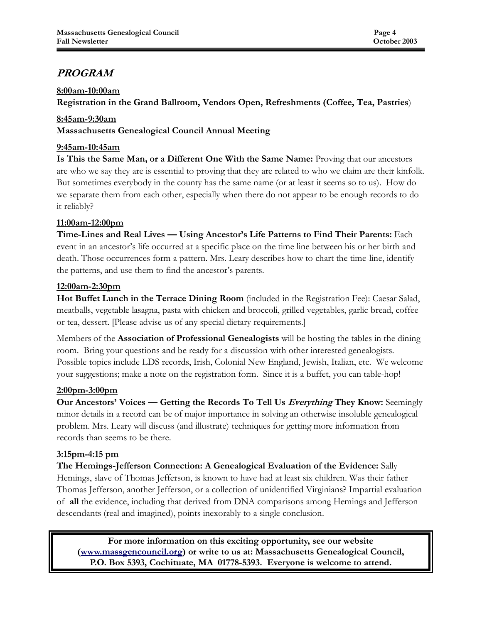# PROGRAM

#### 8:00am-10:00am

Registration in the Grand Ballroom, Vendors Open, Refreshments (Coffee, Tea, Pastries)

#### 8:45am-9:30am

Massachusetts Genealogical Council Annual Meeting

#### 9:45am-10:45am

Is This the Same Man, or a Different One With the Same Name: Proving that our ancestors are who we say they are is essential to proving that they are related to who we claim are their kinfolk. But sometimes everybody in the county has the same name (or at least it seems so to us). How do we separate them from each other, especially when there do not appear to be enough records to do it reliably?

#### 11:00am-12:00pm

Time-Lines and Real Lives — Using Ancestor's Life Patterns to Find Their Parents: Each event in an ancestor's life occurred at a specific place on the time line between his or her birth and death. Those occurrences form a pattern. Mrs. Leary describes how to chart the time-line, identify the patterns, and use them to find the ancestor's parents.

#### 12:00am-2:30pm

Hot Buffet Lunch in the Terrace Dining Room (included in the Registration Fee): Caesar Salad, meatballs, vegetable lasagna, pasta with chicken and broccoli, grilled vegetables, garlic bread, coffee or tea, dessert. [Please advise us of any special dietary requirements.]

Members of the Association of Professional Genealogists will be hosting the tables in the dining room. Bring your questions and be ready for a discussion with other interested genealogists. Possible topics include LDS records, Irish, Colonial New England, Jewish, Italian, etc. We welcome your suggestions; make a note on the registration form. Since it is a buffet, you can table-hop!

#### 2:00pm-3:00pm

Our Ancestors' Voices — Getting the Records To Tell Us Everything They Know: Seemingly minor details in a record can be of major importance in solving an otherwise insoluble genealogical problem. Mrs. Leary will discuss (and illustrate) techniques for getting more information from records than seems to be there.

#### 3:15pm-4:15 pm

The Hemings-Jefferson Connection: A Genealogical Evaluation of the Evidence: Sally Hemings, slave of Thomas Jefferson, is known to have had at least six children. Was their father Thomas Jefferson, another Jefferson, or a collection of unidentified Virginians? Impartial evaluation of all the evidence, including that derived from DNA comparisons among Hemings and Jefferson descendants (real and imagined), points inexorably to a single conclusion.

For more information on this exciting opportunity, see our website (www.massgencouncil.org) or write to us at: Massachusetts Genealogical Council, P.O. Box 5393, Cochituate, MA 01778-5393. Everyone is welcome to attend.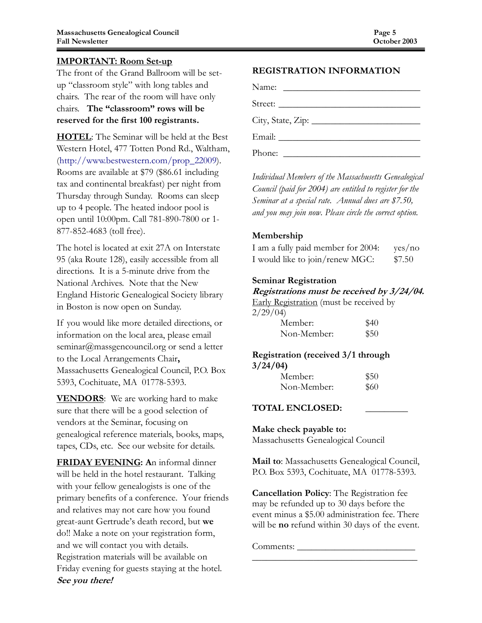#### IMPORTANT: Room Set-up

The front of the Grand Ballroom will be setup "classroom style" with long tables and chairs. The rear of the room will have only chairs. The "classroom" rows will be reserved for the first 100 registrants.

HOTEL: The Seminar will be held at the Best Western Hotel, 477 Totten Pond Rd., Waltham, (http://www.bestwestern.com/prop\_22009). Rooms are available at \$79 (\$86.61 including tax and continental breakfast) per night from Thursday through Sunday. Rooms can sleep up to 4 people. The heated indoor pool is open until 10:00pm. Call 781-890-7800 or 1- 877-852-4683 (toll free).

The hotel is located at exit 27A on Interstate 95 (aka Route 128), easily accessible from all directions. It is a 5-minute drive from the National Archives. Note that the New England Historic Genealogical Society library in Boston is now open on Sunday.

If you would like more detailed directions, or information on the local area, please email seminar@massgencouncil.org or send a letter to the Local Arrangements Chair, Massachusetts Genealogical Council, P.O. Box 5393, Cochituate, MA 01778-5393.

**VENDORS**: We are working hard to make sure that there will be a good selection of vendors at the Seminar, focusing on genealogical reference materials, books, maps, tapes, CDs, etc. See our website for details.

FRIDAY EVENING: An informal dinner will be held in the hotel restaurant. Talking with your fellow genealogists is one of the primary benefits of a conference. Your friends and relatives may not care how you found great-aunt Gertrude's death record, but we do!! Make a note on your registration form, and we will contact you with details. Registration materials will be available on Friday evening for guests staying at the hotel. See you there!

#### REGISTRATION INFORMATION

Name: \_\_\_\_\_\_\_\_\_\_\_\_\_\_\_\_\_\_\_\_\_\_\_\_\_\_\_\_\_ Street: City, State, Zip: \_\_\_\_\_\_\_\_\_\_\_\_\_\_\_\_\_\_\_\_\_\_\_ Email: \_\_\_\_\_\_\_\_\_\_\_\_\_\_\_\_\_\_\_\_\_\_\_\_\_\_\_\_\_\_ Phone: \_\_\_\_\_\_\_\_\_\_\_\_\_\_\_\_\_\_\_\_\_\_\_\_\_\_\_\_\_

Individual Members of the Massachusetts Genealogical Council (paid for 2004) are entitled to register for the Seminar at a special rate. Annual dues are \$7.50, and you may join now. Please circle the correct option.

#### Membership

| I am a fully paid member for 2004: | yes/no |
|------------------------------------|--------|
| I would like to join/renew MGC:    | \$7.50 |

#### Seminar Registration

#### Registrations must be received by 3/24/04.

Early Registration (must be received by  $2/29/04$ 

| Member:     | \$40 |
|-------------|------|
| Non-Member: | \$50 |

#### Registration (received 3/1 through 3/24/04)

| Member:     | \$50 |
|-------------|------|
| Non-Member: | \$60 |

#### TOTAL ENCLOSED: \_\_\_\_\_\_\_\_\_

#### Make check payable to:

Massachusetts Genealogical Council

Mail to: Massachusetts Genealogical Council, P.O. Box 5393, Cochituate, MA 01778-5393.

Cancellation Policy: The Registration fee may be refunded up to 30 days before the event minus a \$5.00 administration fee. There will be **no** refund within 30 days of the event.

\_\_\_\_\_\_\_\_\_\_\_\_\_\_\_\_\_\_\_\_\_\_\_\_\_\_\_\_\_\_\_\_\_\_\_

Comments: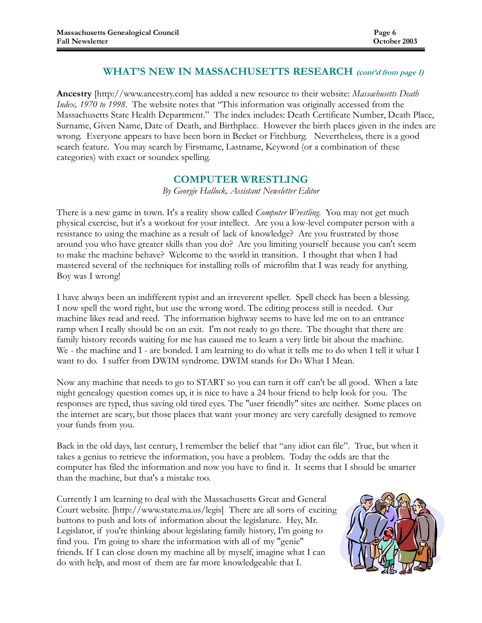#### WHAT'S NEW IN MASSACHUSETTS RESEARCH (cont'd from page 1)

Ancestry [http://www.ancestry.com] has added a new resource to their website: Massachusetts Death Index, 1970 to 1998. The website notes that "This information was originally accessed from the Massachusetts State Health Department." The index includes: Death Certificate Number, Death Place, Surname, Given Name, Date of Death, and Birthplace. However the birth places given in the index are wrong. Everyone appears to have been born in Becket or Fitchburg. Nevertheless, there is a good search feature. You may search by Firstname, Lastname, Keyword (or a combination of these categories) with exact or soundex spelling.

#### COMPUTER WRESTLING

By Georgie Hallock, Assistant Newsletter Editor

There is a new game in town. It's a reality show called *Computer Wrestling*. You may not get much physical exercise, but it's a workout for your intellect. Are you a low-level computer person with a resistance to using the machine as a result of lack of knowledge? Are you frustrated by those around you who have greater skills than you do? Are you limiting yourself because you can't seem to make the machine behave? Welcome to the world in transition. I thought that when I had mastered several of the techniques for installing rolls of microfilm that I was ready for anything. Boy was I wrong!

I have always been an indifferent typist and an irreverent speller. Spell check has been a blessing. I now spell the word right, but use the wrong word. The editing process still is needed. Our machine likes read and reed. The information highway seems to have led me on to an entrance ramp when I really should be on an exit. I'm not ready to go there. The thought that there are family history records waiting for me has caused me to learn a very little bit about the machine. We - the machine and I - are bonded. I am learning to do what it tells me to do when I tell it what I want to do. I suffer from DWIM syndrome. DWIM stands for Do What I Mean.

Now any machine that needs to go to START so you can turn it off can't be all good. When a late night genealogy question comes up, it is nice to have a 24 hour friend to help look for you. The responses are typed, thus saving old tired eyes. The "user friendly" sites are neither. Some places on the internet are scary, but those places that want your money are very carefully designed to remove your funds from you.

Back in the old days, last century, I remember the belief that "any idiot can file". True, but when it takes a genius to retrieve the information, you have a problem. Today the odds are that the computer has filed the information and now you have to find it. It seems that I should be smarter than the machine, but that's a mistake too.

Currently I am learning to deal with the Massachusetts Great and General Court website. [http://www.state.ma.us/legis] There are all sorts of exciting buttons to push and lots of information about the legislature. Hey, Mr. Legislator, if you're thinking about legislating family history, I'm going to find you. I'm going to share the information with all of my "genie" friends. If I can close down my machine all by myself, imagine what I can do with help, and most of them are far more knowledgeable that I.

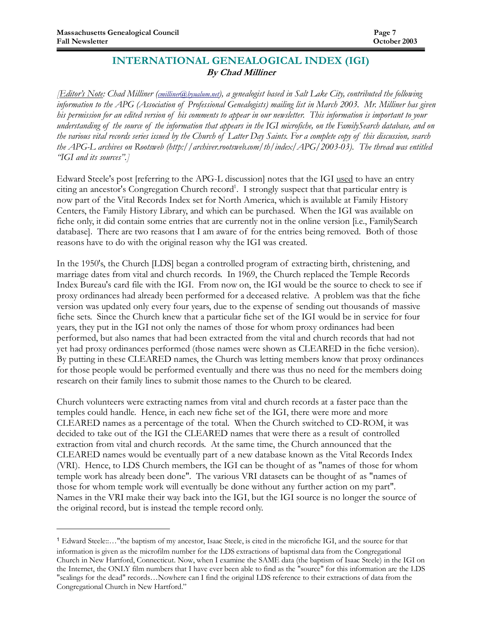$\overline{a}$ 

## INTERNATIONAL GENEALOGICAL INDEX (IGI) By Chad Milliner

**[Editor's Note: Chad Milliner (cmilliner@byualum.net), a genealogist based in Salt Lake City, contributed the following** information to the APG (Association of Professional Genealogists) mailing list in March 2003. Mr. Milliner has given his permission for an edited version of his comments to appear in our newsletter. This information is important to your understanding of the source of the information that appears in the IGI microfiche, on the FamilySearch database, and on the various vital records series issued by the Church of Latter Day Saints. For a complete copy of this discussion, search the APG-L archives on Rootsweb (http://archiver.rootsweb.com/th/index/APG/2003-03). The thread was entitled "IGI and its sources".]

Edward Steele's post [referring to the APG-L discussion] notes that the IGI used to have an entry citing an ancestor's Congregation Church record<sup>1</sup>. I strongly suspect that that particular entry is now part of the Vital Records Index set for North America, which is available at Family History Centers, the Family History Library, and which can be purchased. When the IGI was available on fiche only, it did contain some entries that are currently not in the online version [i.e., FamilySearch database]. There are two reasons that I am aware of for the entries being removed. Both of those reasons have to do with the original reason why the IGI was created.

In the 1950's, the Church [LDS] began a controlled program of extracting birth, christening, and marriage dates from vital and church records. In 1969, the Church replaced the Temple Records Index Bureau's card file with the IGI. From now on, the IGI would be the source to check to see if proxy ordinances had already been performed for a deceased relative. A problem was that the fiche version was updated only every four years, due to the expense of sending out thousands of massive fiche sets. Since the Church knew that a particular fiche set of the IGI would be in service for four years, they put in the IGI not only the names of those for whom proxy ordinances had been performed, but also names that had been extracted from the vital and church records that had not yet had proxy ordinances performed (those names were shown as CLEARED in the fiche version). By putting in these CLEARED names, the Church was letting members know that proxy ordinances for those people would be performed eventually and there was thus no need for the members doing research on their family lines to submit those names to the Church to be cleared.

Church volunteers were extracting names from vital and church records at a faster pace than the temples could handle. Hence, in each new fiche set of the IGI, there were more and more CLEARED names as a percentage of the total. When the Church switched to CD-ROM, it was decided to take out of the IGI the CLEARED names that were there as a result of controlled extraction from vital and church records. At the same time, the Church announced that the CLEARED names would be eventually part of a new database known as the Vital Records Index (VRI). Hence, to LDS Church members, the IGI can be thought of as "names of those for whom temple work has already been done". The various VRI datasets can be thought of as "names of those for whom temple work will eventually be done without any further action on my part". Names in the VRI make their way back into the IGI, but the IGI source is no longer the source of the original record, but is instead the temple record only.

<sup>1</sup> Edward Steele::…"the baptism of my ancestor, Isaac Steele, is cited in the microfiche IGI, and the source for that information is given as the microfilm number for the LDS extractions of baptismal data from the Congregational Church in New Hartford, Connecticut. Now, when I examine the SAME data (the baptism of Isaac Steele) in the IGI on the Internet, the ONLY film numbers that I have ever been able to find as the "source" for this information are the LDS "sealings for the dead" records…Nowhere can I find the original LDS reference to their extractions of data from the Congregational Church in New Hartford."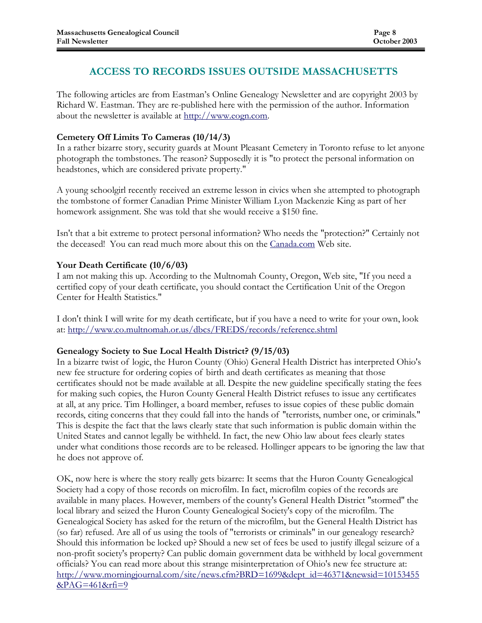# ACCESS TO RECORDS ISSUES OUTSIDE MASSACHUSETTS

The following articles are from Eastman's Online Genealogy Newsletter and are copyright 2003 by Richard W. Eastman. They are re-published here with the permission of the author. Information about the newsletter is available at http://www.eogn.com.

#### Cemetery Off Limits To Cameras (10/14/3)

In a rather bizarre story, security guards at Mount Pleasant Cemetery in Toronto refuse to let anyone photograph the tombstones. The reason? Supposedly it is "to protect the personal information on headstones, which are considered private property."

A young schoolgirl recently received an extreme lesson in civics when she attempted to photograph the tombstone of former Canadian Prime Minister William Lyon Mackenzie King as part of her homework assignment. She was told that she would receive a \$150 fine.

Isn't that a bit extreme to protect personal information? Who needs the "protection?" Certainly not the deceased! You can read much more about this on the Canada.com Web site.

#### Your Death Certificate (10/6/03)

I am not making this up. According to the Multnomah County, Oregon, Web site, "If you need a certified copy of your death certificate, you should contact the Certification Unit of the Oregon Center for Health Statistics."

I don't think I will write for my death certificate, but if you have a need to write for your own, look at: http://www.co.multnomah.or.us/dbcs/FREDS/records/reference.shtml

#### Genealogy Society to Sue Local Health District? (9/15/03)

In a bizarre twist of logic, the Huron County (Ohio) General Health District has interpreted Ohio's new fee structure for ordering copies of birth and death certificates as meaning that those certificates should not be made available at all. Despite the new guideline specifically stating the fees for making such copies, the Huron County General Health District refuses to issue any certificates at all, at any price. Tim Hollinger, a board member, refuses to issue copies of these public domain records, citing concerns that they could fall into the hands of ''terrorists, number one, or criminals." This is despite the fact that the laws clearly state that such information is public domain within the United States and cannot legally be withheld. In fact, the new Ohio law about fees clearly states under what conditions those records are to be released. Hollinger appears to be ignoring the law that he does not approve of.

OK, now here is where the story really gets bizarre: It seems that the Huron County Genealogical Society had a copy of those records on microfilm. In fact, microfilm copies of the records are available in many places. However, members of the county's General Health District ''stormed'' the local library and seized the Huron County Genealogical Society's copy of the microfilm. The Genealogical Society has asked for the return of the microfilm, but the General Health District has (so far) refused. Are all of us using the tools of "terrorists or criminals" in our genealogy research? Should this information be locked up? Should a new set of fees be used to justify illegal seizure of a non-profit society's property? Can public domain government data be withheld by local government officials? You can read more about this strange misinterpretation of Ohio's new fee structure at: http://www.morningjournal.com/site/news.cfm?BRD=1699&dept\_id=46371&newsid=10153455 &PAG=461&rfi=9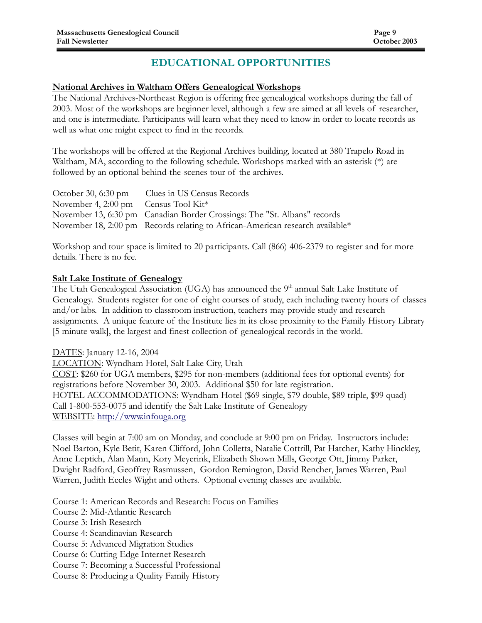# EDUCATIONAL OPPORTUNITIES

#### National Archives in Waltham Offers Genealogical Workshops

The National Archives-Northeast Region is offering free genealogical workshops during the fall of 2003. Most of the workshops are beginner level, although a few are aimed at all levels of researcher, and one is intermediate. Participants will learn what they need to know in order to locate records as well as what one might expect to find in the records.

The workshops will be offered at the Regional Archives building, located at 380 Trapelo Road in Waltham, MA, according to the following schedule. Workshops marked with an asterisk (\*) are followed by an optional behind-the-scenes tour of the archives.

|                                                  | October 30, 6:30 pm Clues in US Census Records                                |
|--------------------------------------------------|-------------------------------------------------------------------------------|
| November 4, 2:00 pm Census Tool Kit <sup>*</sup> |                                                                               |
|                                                  | November 13, 6:30 pm Canadian Border Crossings: The "St. Albans" records      |
|                                                  | November 18, 2:00 pm Records relating to African-American research available* |

Workshop and tour space is limited to 20 participants. Call (866) 406-2379 to register and for more details. There is no fee.

#### Salt Lake Institute of Genealogy

The Utah Genealogical Association (UGA) has announced the 9<sup>th</sup> annual Salt Lake Institute of Genealogy. Students register for one of eight courses of study, each including twenty hours of classes and/or labs. In addition to classroom instruction, teachers may provide study and research assignments. A unique feature of the Institute lies in its close proximity to the Family History Library [5 minute walk], the largest and finest collection of genealogical records in the world.

DATES: January 12-16, 2004 LOCATION: Wyndham Hotel, Salt Lake City, Utah COST: \$260 for UGA members, \$295 for non-members (additional fees for optional events) for registrations before November 30, 2003. Additional \$50 for late registration. HOTEL ACCOMMODATIONS: Wyndham Hotel (\$69 single, \$79 double, \$89 triple, \$99 quad) Call 1-800-553-0075 and identify the Salt Lake Institute of Genealogy WEBSITE: http://www.infouga.org

Classes will begin at 7:00 am on Monday, and conclude at 9:00 pm on Friday. Instructors include: Noel Barton, Kyle Betit, Karen Clifford, John Colletta, Natalie Cottrill, Pat Hatcher, Kathy Hinckley, Anne Leptich, Alan Mann, Kory Meyerink, Elizabeth Shown Mills, George Ott, Jimmy Parker, Dwight Radford, Geoffrey Rasmussen, Gordon Remington, David Rencher, James Warren, Paul Warren, Judith Eccles Wight and others. Optional evening classes are available.

Course 1: American Records and Research: Focus on Families

Course 2: Mid-Atlantic Research

Course 3: Irish Research

Course 4: Scandinavian Research

Course 5: Advanced Migration Studies

Course 6: Cutting Edge Internet Research

Course 7: Becoming a Successful Professional

Course 8: Producing a Quality Family History